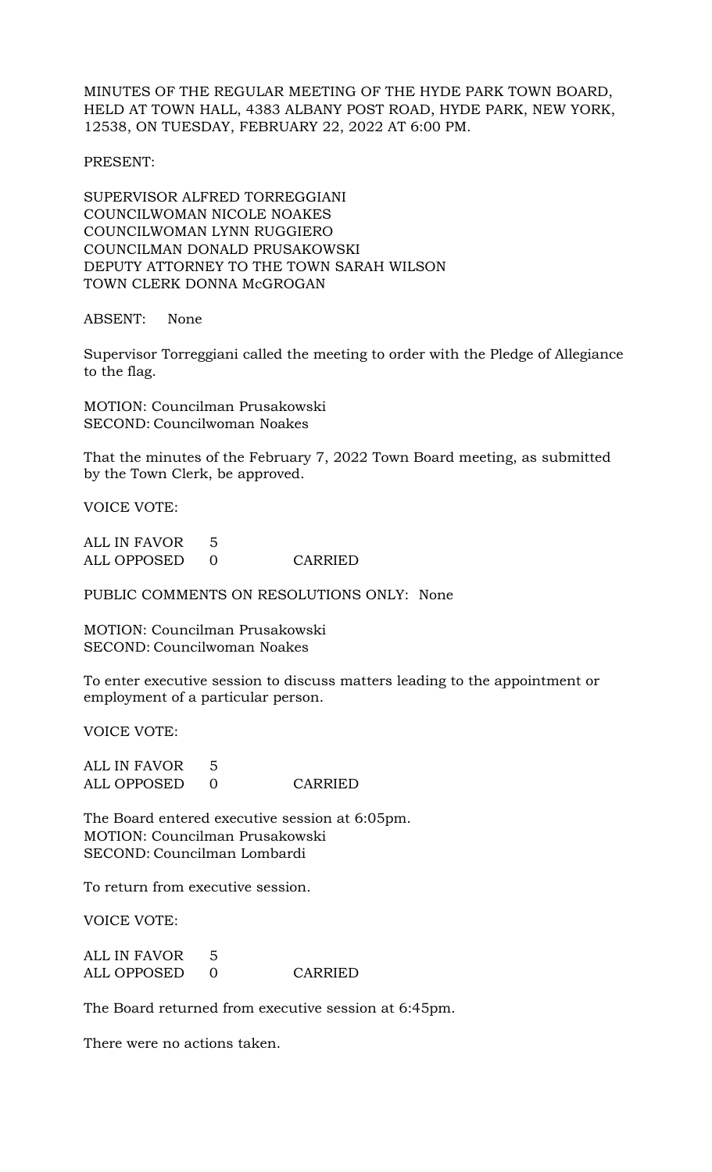MINUTES OF THE REGULAR MEETING OF THE HYDE PARK TOWN BOARD, HELD AT TOWN HALL, 4383 ALBANY POST ROAD, HYDE PARK, NEW YORK, 12538, ON TUESDAY, FEBRUARY 22, 2022 AT 6:00 PM.

PRESENT:

SUPERVISOR ALFRED TORREGGIANI COUNCILWOMAN NICOLE NOAKES COUNCILWOMAN LYNN RUGGIERO COUNCILMAN DONALD PRUSAKOWSKI DEPUTY ATTORNEY TO THE TOWN SARAH WILSON TOWN CLERK DONNA McGROGAN

ABSENT: None

Supervisor Torreggiani called the meeting to order with the Pledge of Allegiance to the flag.

MOTION: Councilman Prusakowski SECOND: Councilwoman Noakes

That the minutes of the February 7, 2022 Town Board meeting, as submitted by the Town Clerk, be approved.

VOICE VOTE:

| ALL IN FAVOR |         |
|--------------|---------|
| ALL OPPOSED  | CARRIED |

PUBLIC COMMENTS ON RESOLUTIONS ONLY: None

MOTION: Councilman Prusakowski SECOND: Councilwoman Noakes

To enter executive session to discuss matters leading to the appointment or employment of a particular person.

VOICE VOTE:

ALL IN FAVOR 5 ALL OPPOSED 0 CARRIED

The Board entered executive session at 6:05pm. MOTION: Councilman Prusakowski SECOND: Councilman Lombardi

To return from executive session.

VOICE VOTE:

ALL IN FAVOR 5 ALL OPPOSED 0 CARRIED

The Board returned from executive session at 6:45pm.

There were no actions taken.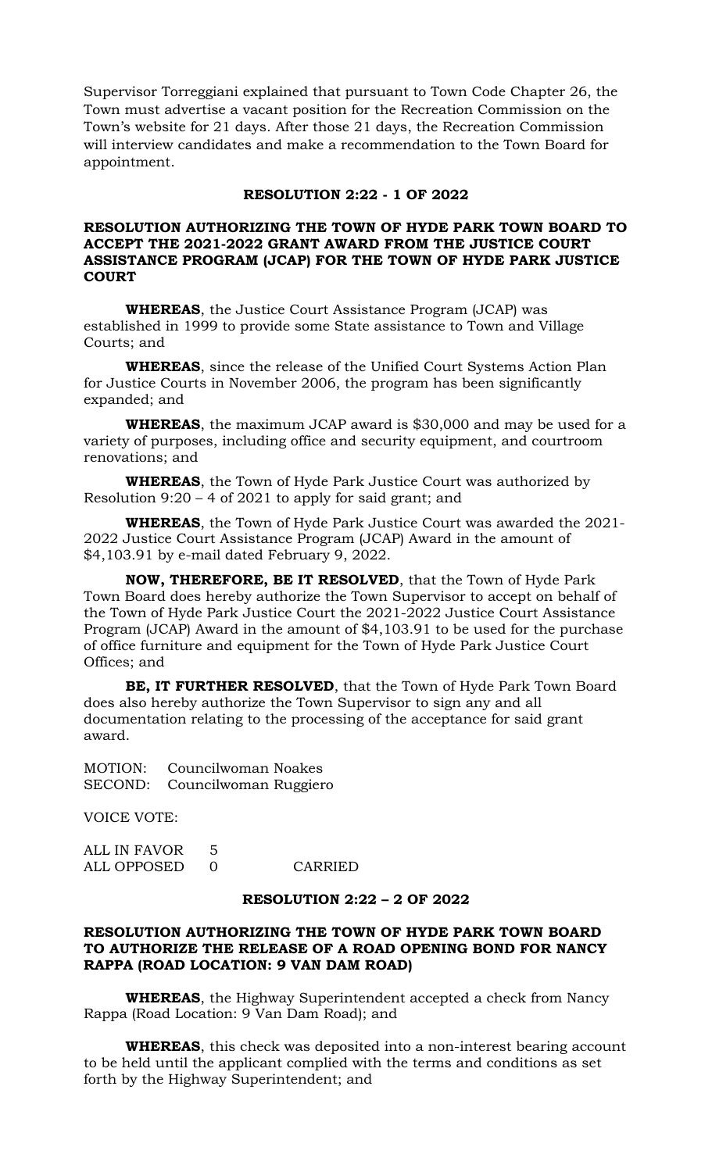Supervisor Torreggiani explained that pursuant to Town Code Chapter 26, the Town must advertise a vacant position for the Recreation Commission on the Town's website for 21 days. After those 21 days, the Recreation Commission will interview candidates and make a recommendation to the Town Board for appointment.

### **RESOLUTION 2:22 - 1 OF 2022**

## **RESOLUTION AUTHORIZING THE TOWN OF HYDE PARK TOWN BOARD TO ACCEPT THE 2021-2022 GRANT AWARD FROM THE JUSTICE COURT ASSISTANCE PROGRAM (JCAP) FOR THE TOWN OF HYDE PARK JUSTICE COURT**

**WHEREAS**, the Justice Court Assistance Program (JCAP) was established in 1999 to provide some State assistance to Town and Village Courts; and

**WHEREAS**, since the release of the Unified Court Systems Action Plan for Justice Courts in November 2006, the program has been significantly expanded; and

**WHEREAS**, the maximum JCAP award is \$30,000 and may be used for a variety of purposes, including office and security equipment, and courtroom renovations; and

**WHEREAS**, the Town of Hyde Park Justice Court was authorized by Resolution 9:20 – 4 of 2021 to apply for said grant; and

**WHEREAS**, the Town of Hyde Park Justice Court was awarded the 2021- 2022 Justice Court Assistance Program (JCAP) Award in the amount of \$4,103.91 by e-mail dated February 9, 2022.

**NOW, THEREFORE, BE IT RESOLVED**, that the Town of Hyde Park Town Board does hereby authorize the Town Supervisor to accept on behalf of the Town of Hyde Park Justice Court the 2021-2022 Justice Court Assistance Program (JCAP) Award in the amount of \$4,103.91 to be used for the purchase of office furniture and equipment for the Town of Hyde Park Justice Court Offices; and

**BE, IT FURTHER RESOLVED**, that the Town of Hyde Park Town Board does also hereby authorize the Town Supervisor to sign any and all documentation relating to the processing of the acceptance for said grant award.

MOTION: Councilwoman Noakes SECOND: Councilwoman Ruggiero

VOICE VOTE:

ALL IN FAVOR 5 ALL OPPOSED 0 CARRIED

#### **RESOLUTION 2:22 – 2 OF 2022**

# **RESOLUTION AUTHORIZING THE TOWN OF HYDE PARK TOWN BOARD TO AUTHORIZE THE RELEASE OF A ROAD OPENING BOND FOR NANCY RAPPA (ROAD LOCATION: 9 VAN DAM ROAD)**

**WHEREAS**, the Highway Superintendent accepted a check from Nancy Rappa (Road Location: 9 Van Dam Road); and

**WHEREAS**, this check was deposited into a non-interest bearing account to be held until the applicant complied with the terms and conditions as set forth by the Highway Superintendent; and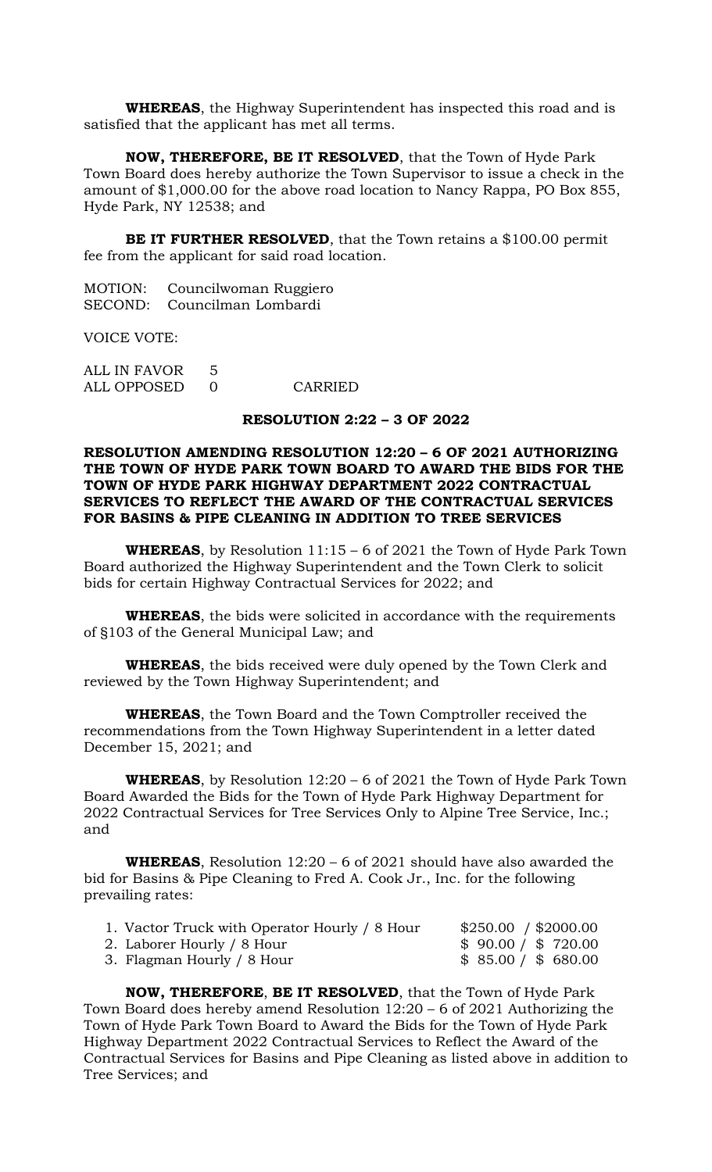**WHEREAS**, the Highway Superintendent has inspected this road and is satisfied that the applicant has met all terms.

**NOW, THEREFORE, BE IT RESOLVED**, that the Town of Hyde Park Town Board does hereby authorize the Town Supervisor to issue a check in the amount of \$1,000.00 for the above road location to Nancy Rappa, PO Box 855, Hyde Park, NY 12538; and

**BE IT FURTHER RESOLVED**, that the Town retains a \$100.00 permit fee from the applicant for said road location.

| MOTION: | Councilwoman Ruggiero       |
|---------|-----------------------------|
|         | SECOND: Councilman Lombardi |

VOICE VOTE:

| ALL IN FAVOR 5 |         |
|----------------|---------|
| ALL OPPOSED    | CARRIED |

### **RESOLUTION 2:22 – 3 OF 2022**

### **RESOLUTION AMENDING RESOLUTION 12:20 – 6 OF 2021 AUTHORIZING THE TOWN OF HYDE PARK TOWN BOARD TO AWARD THE BIDS FOR THE TOWN OF HYDE PARK HIGHWAY DEPARTMENT 2022 CONTRACTUAL SERVICES TO REFLECT THE AWARD OF THE CONTRACTUAL SERVICES FOR BASINS & PIPE CLEANING IN ADDITION TO TREE SERVICES**

**WHEREAS**, by Resolution 11:15 – 6 of 2021 the Town of Hyde Park Town Board authorized the Highway Superintendent and the Town Clerk to solicit bids for certain Highway Contractual Services for 2022; and

**WHEREAS**, the bids were solicited in accordance with the requirements of §103 of the General Municipal Law; and

**WHEREAS**, the bids received were duly opened by the Town Clerk and reviewed by the Town Highway Superintendent; and

**WHEREAS**, the Town Board and the Town Comptroller received the recommendations from the Town Highway Superintendent in a letter dated December 15, 2021; and

**WHEREAS**, by Resolution 12:20 – 6 of 2021 the Town of Hyde Park Town Board Awarded the Bids for the Town of Hyde Park Highway Department for 2022 Contractual Services for Tree Services Only to Alpine Tree Service, Inc.; and

**WHEREAS**, Resolution 12:20 – 6 of 2021 should have also awarded the bid for Basins & Pipe Cleaning to Fred A. Cook Jr., Inc. for the following prevailing rates:

| 1. Vactor Truck with Operator Hourly / 8 Hour | \$250.00 / \$2000.00 |
|-----------------------------------------------|----------------------|
| 2. Laborer Hourly / 8 Hour                    | \$90.00 / \$720.00   |
| 3. Flagman Hourly / 8 Hour                    | \$85.00 / \$680.00   |

**NOW, THEREFORE**, **BE IT RESOLVED**, that the Town of Hyde Park Town Board does hereby amend Resolution 12:20 – 6 of 2021 Authorizing the Town of Hyde Park Town Board to Award the Bids for the Town of Hyde Park Highway Department 2022 Contractual Services to Reflect the Award of the Contractual Services for Basins and Pipe Cleaning as listed above in addition to Tree Services; and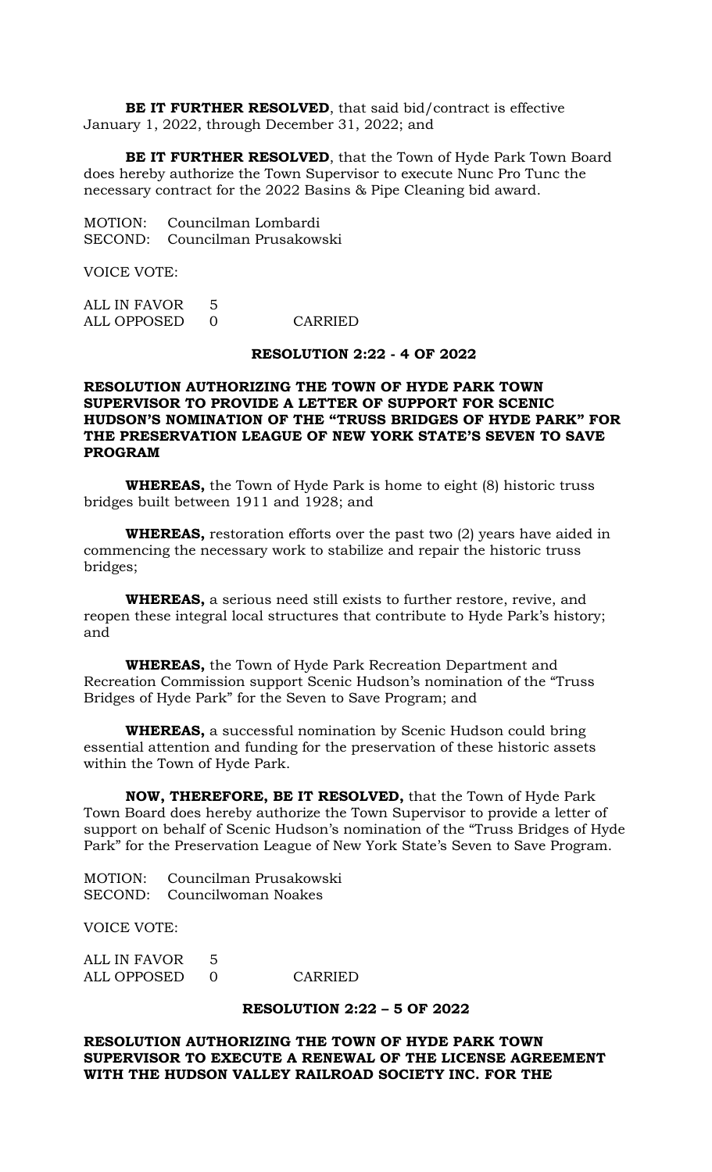**BE IT FURTHER RESOLVED**, that said bid/contract is effective January 1, 2022, through December 31, 2022; and

**BE IT FURTHER RESOLVED**, that the Town of Hyde Park Town Board does hereby authorize the Town Supervisor to execute Nunc Pro Tunc the necessary contract for the 2022 Basins & Pipe Cleaning bid award.

MOTION: Councilman Lombardi SECOND: Councilman Prusakowski

VOICE VOTE:

| ALL IN FAVOR |         |
|--------------|---------|
| ALL OPPOSED  | CARRIED |

#### **RESOLUTION 2:22 - 4 OF 2022**

## **RESOLUTION AUTHORIZING THE TOWN OF HYDE PARK TOWN SUPERVISOR TO PROVIDE A LETTER OF SUPPORT FOR SCENIC HUDSON'S NOMINATION OF THE "TRUSS BRIDGES OF HYDE PARK" FOR THE PRESERVATION LEAGUE OF NEW YORK STATE'S SEVEN TO SAVE PROGRAM**

**WHEREAS,** the Town of Hyde Park is home to eight (8) historic truss bridges built between 1911 and 1928; and

**WHEREAS,** restoration efforts over the past two (2) years have aided in commencing the necessary work to stabilize and repair the historic truss bridges;

**WHEREAS,** a serious need still exists to further restore, revive, and reopen these integral local structures that contribute to Hyde Park's history; and

**WHEREAS,** the Town of Hyde Park Recreation Department and Recreation Commission support Scenic Hudson's nomination of the "Truss Bridges of Hyde Park" for the Seven to Save Program; and

**WHEREAS,** a successful nomination by Scenic Hudson could bring essential attention and funding for the preservation of these historic assets within the Town of Hyde Park.

**NOW, THEREFORE, BE IT RESOLVED,** that the Town of Hyde Park Town Board does hereby authorize the Town Supervisor to provide a letter of support on behalf of Scenic Hudson's nomination of the "Truss Bridges of Hyde Park" for the Preservation League of New York State's Seven to Save Program.

MOTION: Councilman Prusakowski SECOND: Councilwoman Noakes

VOICE VOTE:

ALL IN FAVOR 5 ALL OPPOSED 0 CARRIED

#### **RESOLUTION 2:22 – 5 OF 2022**

## **RESOLUTION AUTHORIZING THE TOWN OF HYDE PARK TOWN SUPERVISOR TO EXECUTE A RENEWAL OF THE LICENSE AGREEMENT WITH THE HUDSON VALLEY RAILROAD SOCIETY INC. FOR THE**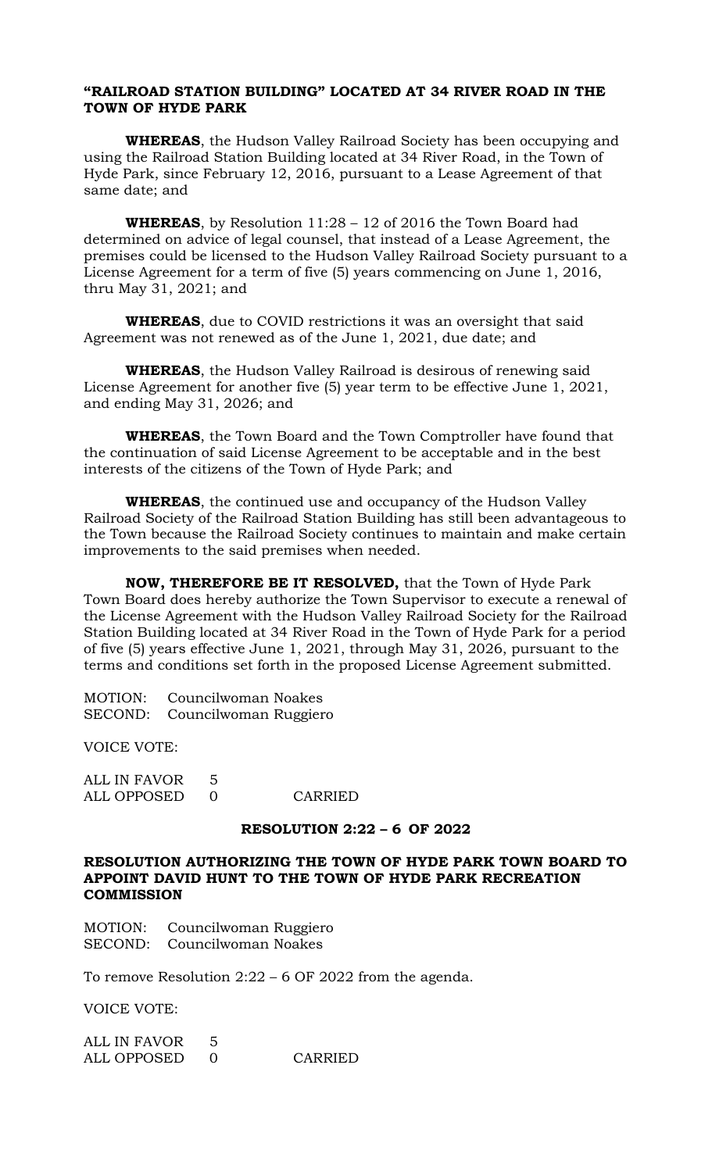## **"RAILROAD STATION BUILDING" LOCATED AT 34 RIVER ROAD IN THE TOWN OF HYDE PARK**

**WHEREAS**, the Hudson Valley Railroad Society has been occupying and using the Railroad Station Building located at 34 River Road, in the Town of Hyde Park, since February 12, 2016, pursuant to a Lease Agreement of that same date; and

**WHEREAS**, by Resolution 11:28 – 12 of 2016 the Town Board had determined on advice of legal counsel, that instead of a Lease Agreement, the premises could be licensed to the Hudson Valley Railroad Society pursuant to a License Agreement for a term of five (5) years commencing on June 1, 2016, thru May 31, 2021; and

**WHEREAS**, due to COVID restrictions it was an oversight that said Agreement was not renewed as of the June 1, 2021, due date; and

**WHEREAS**, the Hudson Valley Railroad is desirous of renewing said License Agreement for another five (5) year term to be effective June 1, 2021, and ending May 31, 2026; and

**WHEREAS**, the Town Board and the Town Comptroller have found that the continuation of said License Agreement to be acceptable and in the best interests of the citizens of the Town of Hyde Park; and

**WHEREAS**, the continued use and occupancy of the Hudson Valley Railroad Society of the Railroad Station Building has still been advantageous to the Town because the Railroad Society continues to maintain and make certain improvements to the said premises when needed.

**NOW, THEREFORE BE IT RESOLVED,** that the Town of Hyde Park Town Board does hereby authorize the Town Supervisor to execute a renewal of the License Agreement with the Hudson Valley Railroad Society for the Railroad Station Building located at 34 River Road in the Town of Hyde Park for a period of five (5) years effective June 1, 2021, through May 31, 2026, pursuant to the terms and conditions set forth in the proposed License Agreement submitted.

MOTION: Councilwoman Noakes SECOND: Councilwoman Ruggiero

VOICE VOTE:

ALL IN FAVOR 5 ALL OPPOSED 0 CARRIED

#### **RESOLUTION 2:22 – 6 OF 2022**

## **RESOLUTION AUTHORIZING THE TOWN OF HYDE PARK TOWN BOARD TO APPOINT DAVID HUNT TO THE TOWN OF HYDE PARK RECREATION COMMISSION**

MOTION: Councilwoman Ruggiero SECOND: Councilwoman Noakes

To remove Resolution 2:22 – 6 OF 2022 from the agenda.

VOICE VOTE:

| ALL IN FAVOR |         |
|--------------|---------|
| ALL OPPOSED  | CARRIED |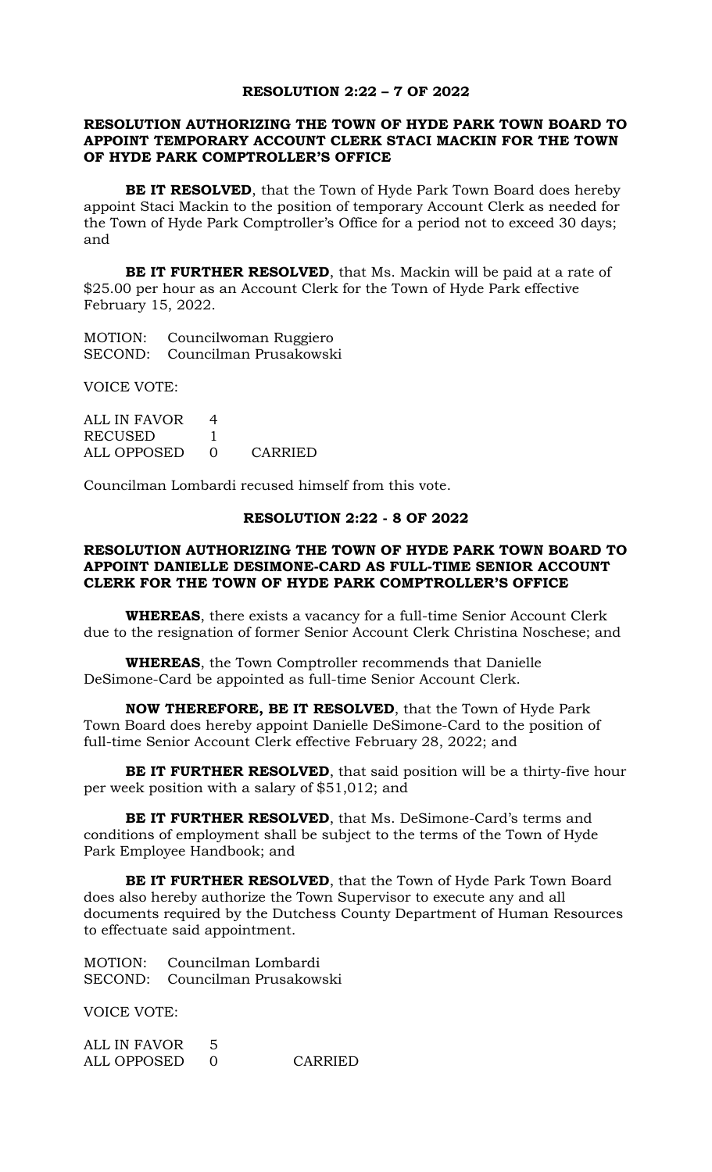#### **RESOLUTION 2:22 – 7 OF 2022**

### **RESOLUTION AUTHORIZING THE TOWN OF HYDE PARK TOWN BOARD TO APPOINT TEMPORARY ACCOUNT CLERK STACI MACKIN FOR THE TOWN OF HYDE PARK COMPTROLLER'S OFFICE**

**BE IT RESOLVED**, that the Town of Hyde Park Town Board does hereby appoint Staci Mackin to the position of temporary Account Clerk as needed for the Town of Hyde Park Comptroller's Office for a period not to exceed 30 days; and

**BE IT FURTHER RESOLVED**, that Ms. Mackin will be paid at a rate of \$25.00 per hour as an Account Clerk for the Town of Hyde Park effective February 15, 2022.

MOTION: Councilwoman Ruggiero SECOND: Councilman Prusakowski

VOICE VOTE:

ALL IN FAVOR 4 RECUSED 1 ALL OPPOSED 0 CARRIED

Councilman Lombardi recused himself from this vote.

### **RESOLUTION 2:22 - 8 OF 2022**

### **RESOLUTION AUTHORIZING THE TOWN OF HYDE PARK TOWN BOARD TO APPOINT DANIELLE DESIMONE-CARD AS FULL-TIME SENIOR ACCOUNT CLERK FOR THE TOWN OF HYDE PARK COMPTROLLER'S OFFICE**

**WHEREAS**, there exists a vacancy for a full-time Senior Account Clerk due to the resignation of former Senior Account Clerk Christina Noschese; and

**WHEREAS**, the Town Comptroller recommends that Danielle DeSimone-Card be appointed as full-time Senior Account Clerk.

**NOW THEREFORE, BE IT RESOLVED**, that the Town of Hyde Park Town Board does hereby appoint Danielle DeSimone-Card to the position of full-time Senior Account Clerk effective February 28, 2022; and

**BE IT FURTHER RESOLVED**, that said position will be a thirty-five hour per week position with a salary of \$51,012; and

**BE IT FURTHER RESOLVED**, that Ms. DeSimone-Card's terms and conditions of employment shall be subject to the terms of the Town of Hyde Park Employee Handbook; and

**BE IT FURTHER RESOLVED**, that the Town of Hyde Park Town Board does also hereby authorize the Town Supervisor to execute any and all documents required by the Dutchess County Department of Human Resources to effectuate said appointment.

MOTION: Councilman Lombardi SECOND: Councilman Prusakowski

VOICE VOTE:

ALL IN FAVOR 5 ALL OPPOSED 0 CARRIED